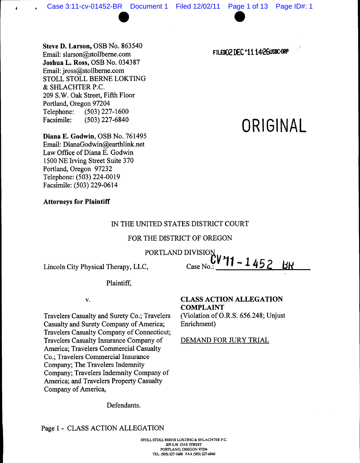Steve D. Larson, OSB No. 863540 Email: slarson@stollberne.com Joshua L. Ross, OSB No. 034387 Email:jross@stollberne.com STOLL STOLL BERNE LOKTING & SHLACHTER P.C. 209 S.W. Oak Street, Fifth Floor Portland, Oregon 97204 Telephone: (503)227-1600 Facsimile: (503) 227-6840

Diana E. Godwin, OSB No. 761495 Email: DianaGodwin@earthlink.net Law Office of Diana E. Godwin 1500NE Irving Street Suite 370 Portland, Oregon 97232 Telephone: (503) 224-0019 Facsimile: (503) 229-0614

# Attorneys for Plaintiff

## IN THE UNITED STATES DISTRICT COURT

# FOR THE DISTRICT OF OREGON

PORTLAND DIVISION

Lincoln City Physical Therapy, LLC,

Plaintiff,

v.

Travelers Casualty and Surety Co.; Travelers Casualty and Surety Company of America; Travelers Casualty Company of Connecticut; Travelers Casualty Insurance Company of America; Travelers Commercial Casualty Co.; Travelers Commercial Insurance Company; The Travelers Indemnity Company; Travelers Indemnity Company of America; and Travelers Property Casualty Company of America,

## Defendants.

Page 1 - CLASS ACTION ALLEGATION

FILED02 DEC '11 14:26USDC-0RP

# *ORIGINAL*

Case No. 11-1452 BK

CLASS ACTION ALLEGATION COMPLAINT

(Violation of O.R.S. 656.248; Unjust Enrichment)

DEMAND FOR JURY TRIAL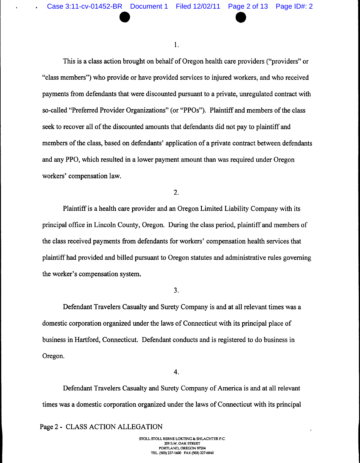Case 3:11-cv-01452-BR Document 1 Filed 12/02/11 Page 2 of 13 Page ID#: 2

1.

This is a class action brought on behalf of Oregon health care providers ("providers" or "class members") who provide or have provided services to injured workers, and who received payments from defendants that were discounted pursuant to a private, unregulated contract with so-called "Preferred Provider Organizations" (or "PPOs"). Plaintiff and members of the class seek to recover all of the discounted amounts that defendants did not pay to plaintiff and members of the class, based on defendants' application of a private contract between defendants and any PPO, which resulted in a lower payment amount than was required under Oregon workers' compensation law.

2.

Plaintiffis a health care provider and an Oregon Limited Liability Company with its principal office in Lincoln County, Oregon. During the class period, plaintiff and members of the class received payments from defendants for workers' compensation health services that plaintiffhad provided and billed pursuant to Oregon statutes and administrative rules governing the worker's compensation system.

3.

Defendant Travelers Casualty and Surety Company is and at all relevant times was a domestic corporation organized under the laws of Connecticut with its principal place of business in Hartford, Connecticut. Defendant conducts and is registered to do business in Oregon.

4.

Defendant Travelers Casualty and Surety Company of America is and at all relevant times was a domestic corporation organized under the laws of Connecticut with its principal

Page 2 - CLASS ACTION ALLEGATION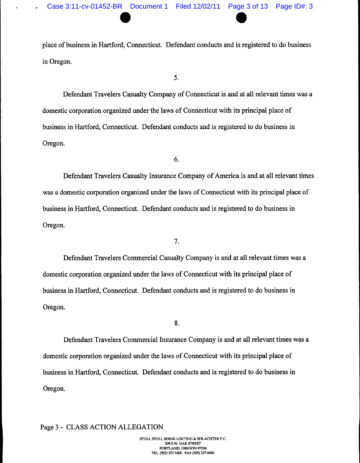place of business in Hartford, Connecticut. Defendant conducts and is registered to do business in Oregon.

5.

Defendant Travelers Casualty Company of Connecticut is and at all relevant times was a domestic corporation organized under the laws of Connecticut with its principal place of business in Hartford, Connecticut. Defendant conducts and is registered to do business in Oregon.

6.

Defendant Travelers Casualty Insurance Company of America is and at all relevant times was a domestic corporation organized under the laws of Connecticut with its principal place of business in Hartford, Connecticut. Defendant conducts and is registered to do business in Oregon.

7.

Defendant Travelers Commercial Casualty Company is and at all relevant times was a domestic corporation organized under the laws of Connecticut with its principal place of business in Hartford, Connecticut. Defendant conducts and is registered to do business in Oregon.

8.

Defendant Travelers Commercial Insurance Company is and at all relevant times was a domestic corporation organized under the laws of Connecticut with its principal place of business in Hartford, Connecticut. Defendant conducts and is registered to do business in Oregon.

Page 3 - CLASS ACTION ALLEGATION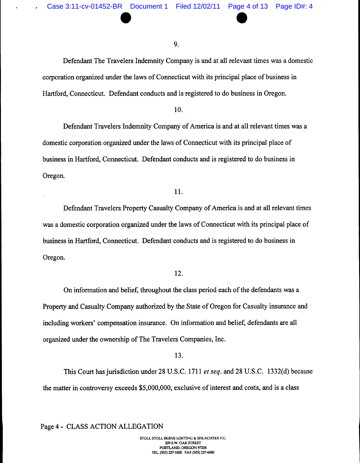Case 3:11-cv-01452-BR Document 1 Filed 12/02/11 Page 4 of 13 Page ID#: 4

9.

Defendant The Travelers Indemnity Company is and at all relevant times was a domestic corporation organized under the laws of Connecticut with its principal place of business in Hartford, Connecticut. Defendant conducts and is registered to do business in Oregon.

# 10.

Defendant Travelers Indemnity Company of America is and at all relevant times was a domestic corporation organized under the laws of Connecticut with its principal place of business in Hartford, Connecticut. Defendant conducts and is registered to do business in Oregon.

## 11.

Defendant Travelers Property Casualty Company of America is and at all relevant times was a domestic corporation organized under the laws of Connecticut with its principal place of business in Hartford, Connecticut. Defendant conducts and is registered to do business in Oregon.

## 12.

On information and belief, throughout the class period each of the defendants was a Property and Casualty Company authorized by the State of Oregon for Casualty insurance and including workers' compensation insurance. On information and belief, defendants are all organized under the ownership of The Travelers Companies, Inc.

#### 13.

This Court hasjurisdiction under 28 U.S.C. 1711 er**seq.** and 28 U.S.C. 1332(d) because the matter in controversy exceeds \$5,000,000, exclusive of interest and costs, and is a class

Page 4 - CLASS ACTION ALLEGATION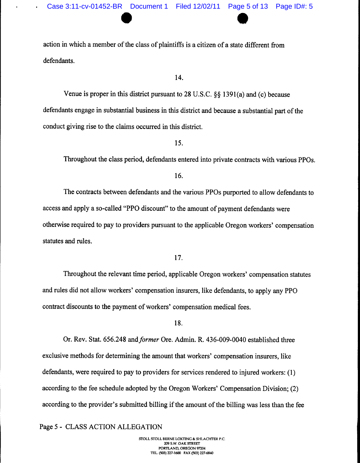action in which a member of the class of plaintiffs is a citizen of a state different from defendants.

14.

Venue is proper in this district pursuant to 28 U.S.C.  $\S$ § 1391(a) and (c) because defendants engage in substantial business in this district and because a substantial part of the conduct giving rise to the claims occurred in this district.

15.

Throughout the class period, defendants entered into private contracts with various PPOs.

16.

The contracts between defendants and the various PPOs purported to allow defendants to access and apply a so-called "PPO discount" to the amount of payment defendants were otherwise required to pay to providers pursuant to the applicable Oregon workers' compensation statutes and rules.

17.

Throughout the relevant time period, applicable Oregon workers' compensation statutes and rules did not allow workers' compensation insurers, like defendants, to apply any PPO contract discounts to the payment of workers' compensation medical fees.

18.

Or. Rev. Stat. 656.248 and**former** Ore. Admin. R. 436-009-0040 established three exclusive methods for determining the amount that workers' compensation insurers, like defendants, were required to pay to providers for services rendered to injured workers:  $(1)$ according to the fee schedule adopted by the Oregon Workers' Compensation Division; (2) according to the provider's submitted billing if the amount of the billing was less than the fee

Page 5 - CLASS ACTION ALLEGATION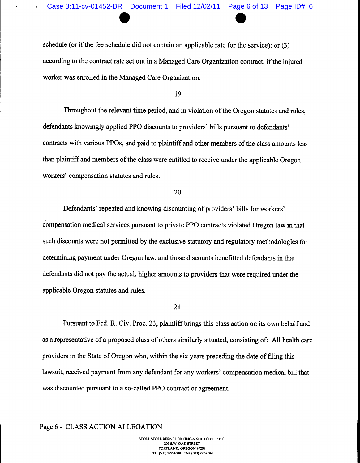schedule (or if the fee schedule did not contain an applicable rate for the service); or (3) according to the contract rate set out in a Managed Care Organization contract, if the injured worker was enrolled in the Managed Care Organization.

## 19.

Throughout the relevant time period, and in violation of the Oregon statutes and rules, defendants knowingly applied PPO discounts to providers' bills pursuant to defendants' contracts with various PPOs, and paid to plaintiff and other members of the class amounts less than plaintiff and members of the class were entitled to receive under the applicable Oregon workers' compensation statutes and rules.

## 20.

Defendants' repeated and knowing discounting of providers' bills for workers' compensation medical services pursuant to private PPO contracts violated Oregon law in that such discounts were not permitted by the exclusive statutory and regulatory methodologies for determining payment under Oregon law, and those discounts benefitted defendants in that defendants did not pay the actual, higher amounts to providers that were required under the applicable Oregon statutes and rules.

## 21.

Pursuant to Fed. R. Civ. Proc. 23, plaintiff brings this class action on its own behalf and as a representative of a proposed class of others similarly situated, consisting of: All health care providers in the State of Oregon who, within the six years preceding the date of filing this lawsuit, received payment from any defendant for any workers' compensation medical bill that was discounted pursuant to a so-called PPO contract or agreement.

## Page 6 - CLASS ACTION ALLEGATION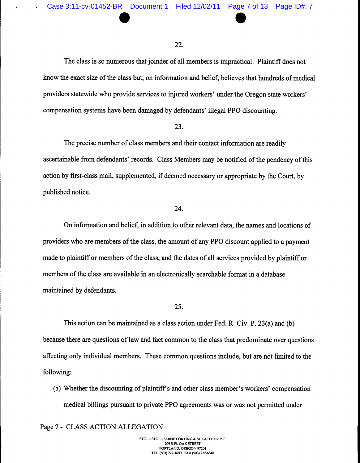Case 3:11-cv-01452-BR Document 1 Filed 12/02/11 Page 7 of 13 Page ID#: 7

#### 22.

The class is so numerous that joinder of all members is impractical. Plaintiff does not know the exact size of the class but, on information and belief, believes that hundreds of medical providers statewide who provide services to injured workers' under the Oregon state workers' compensation systems have been damaged by defendants' illegal PPO discounting.

# 23.

The precise number of class members and their contact information are readily ascertainable from defendants' records. Class Members may be notified of the pendency of this action by first-class mail, supplemented, if deemed necessary or appropriate by the Court, by published notice.

#### 24.

On information and belief, in addition to other relevant data, the names and locations of providers who are members of the class, the amount of any PPO discount applied to a payment made to plaintiff or members of the class, and the dates of all services provided by plaintiff or members of the class are available in an electronically searchable format in a database maintained by defendants.

# 25.

This action can be maintained as a class action under Fed. R. Civ. P. 23(a) and (b) because there are questions of law and fact common to the class that predominate over questions affecting only individual members. These common questions include, but are not limited to the following:

(a) Whether the discounting of plaintiffs and other class member's workers' compensation medical billings pursuant to private PPO agreements was or was not permitted under

Page 7 - CLASS ACTION ALLEGATION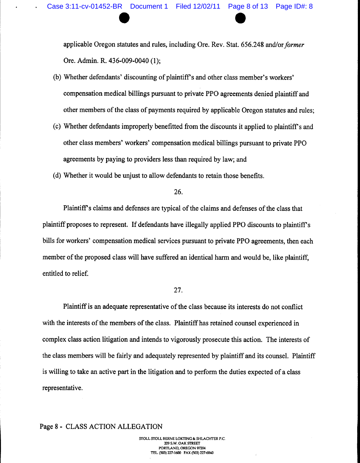applicable Oregon statutes and rules, including Ore. Rev. Stat. 656.248 and/or**former** Ore. Admin. R. 436-009-0040 (1);

- (b) Whether defendants' discounting of plaintiffs and other class member's workers' compensation medical billings pursuant to private PPO agreements denied plaintiff and other members of the class of payments required by applicable Oregon statutes and rules;
- (c) Whether defendants improperly benefitted from the discounts it applied to plaintiff's and other class members' workers' compensation medical billings pursuant to private PPO agreements by paying to providers less than required by law; and
- (d) Whether it would be unjust to allow defendants to retain those benefits.

26.

Plaintiff's claims and defenses are typical of the claims and defenses of the class that plaintiff proposes to represent. If defendants have illegally applied PPO discounts to plaintiff's bills for workers' compensation medical services pursuant to private PPO agreements, then each member of the proposed class will have suffered an identical harm and would be, like plaintiff, entitled to relief.

# 27.

Plaintiff is an adequate representative of the class because its interests do not conflict with the interests of the members of the class. Plaintiff has retained counsel experienced in complex class action litigation and intends to vigorously prosecute this action. The interests of the class members will be fairly and adequately represented by plaintiff and its counsel. Plaintiff is willing to take an active part in the litigation and to perform the duties expected of a class representative.

# Page 8 - CLASS ACTION ALLEGATION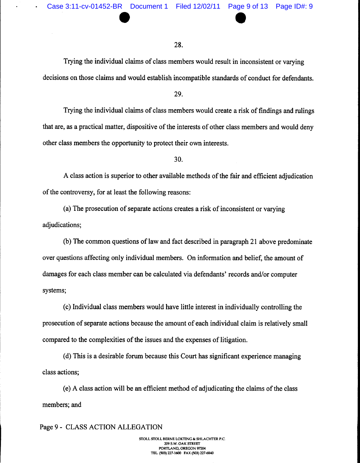#### 28.

Trying the individual claims of class members would result in inconsistent or varying decisions on those claims and would establish incompatible standards of conduct for defendants.

#### 29.

Trying the individual claims of class members would create a risk of findings and rulings that are, as a practical matter, dispositive of the interests of other class members and would deny other class members the opportunity to protect their own interests.

30.

A class action is superior to other available methods of the fair and efficient adjudication of the controversy, for at least the following reasons:

(a) The prosecution of separate actions creates a risk of inconsistent or varying adjudications;

(b) The common questions of law and fact described in paragraph 21 above predominate over questions affecting only individual members. On information and belief, the amount of damages for each class member can be calculated via defendants' records and/or computer systems;

(c) Individual class members would have little interest in individually controlling the prosecution of separate actions because the amount of each individual claim is relatively small compared to the complexities of the issues and the expenses of litigation.

(d) This is a desirable forum because this Court has significant experience managing class actions;

(e) A class action will be an efficient method of adjudicating the claims ofthe class members; and

# Page 9 - CLASS ACTION ALLEGATION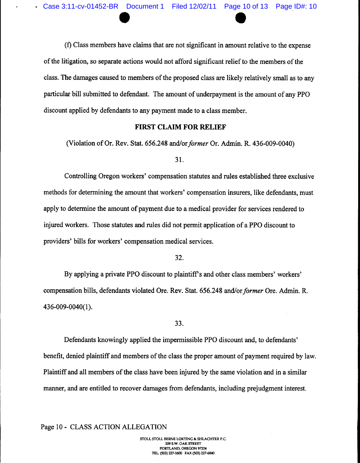(f) Class membershave claims that are not significant in amount relative to the expense of the litigation, so separate actions would not afford significant relief to the members of the class. The damages caused to members of the proposed class are likely relatively small as to any particular bill submitted to defendant. The amount of underpayment is the amount of any PPO discount applied by defendants to any payment made to a class member.

# *FIRST CLAIM FOR RELIEF*

(Violation of Or. Rev. Stat. 656.248 and/or *former* Or. Admin. R. 436-009-0040)

31.

Controlling Oregon workers' compensation statutes and rules established three exclusive methods for determining the amount that workers' compensation insurers, like defendants, must apply to determine the amount of payment due to a medical provider for services rendered to injured workers. Those statutes and rules did not permit application of a PPO discount to providers' bills for workers' compensation medical services.

32.

By applying a private PPO discount to plaintiff's and other class members' workers' compensation bills, defendants violated Ore. Rev. Stat. 656.248 and/or *former* Ore. Admin. R. 436-009-0040(1).

33.

Defendants knowingly applied the impermissible PPO discount and, to defendants' benefit, denied plaintiff and members of the class the proper amount of payment required by law. Plaintiff and all members of the class have been injured by the same violation and in a similar manner, and are entitled to recover damages from defendants, including prejudgment interest.

Page 10 - CLASS ACTION ALLEGATION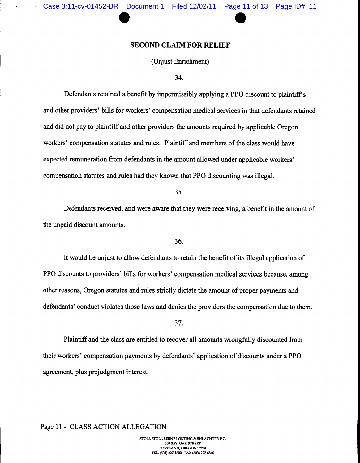## *SECOND CLAIM FOR RELIEF*

(Unjust Enrichment)

34.

Defendants retained a benefit by impermissibly applying a PPO discount to plaintiff's and other providers' bills for workers' compensation medical services in that defendants retained and did not pay to plaintiff and other providers the amounts required by applicable Oregon workers' compensation statutes and rules. Plaintiff and members of the class would have expected remuneration from defendants in the amount allowed under applicable workers' compensation statutes and rules had they known that PPO discounting was illegal.

35.

Defendants received, and were aware that they were receiving, a benefit in the amount of the unpaid discount amounts.

36.

It would be unjust to allow defendants to retain the benefit of its illegal application of PPO discounts to providers' bills for workers' compensation medical services because, among other reasons, Oregon statutes and rules strictly dictate the amount of proper payments and defendants' conduct violates those laws and denies the providers the compensation due to them.

37.

Plaintiff and the class are entitled to recover all amounts wrongfully discounted from their workers' compensation payments by defendants' application of discounts under a PPO agreement, plus prejudgment interest.

## Page 11 - CLASS ACTION ALLEGATION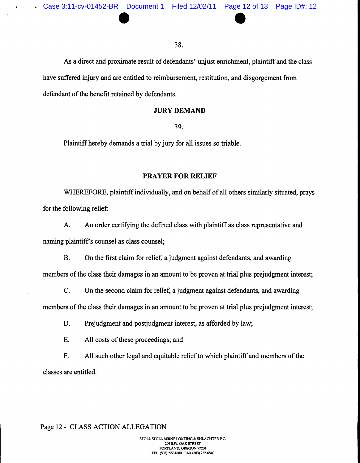38.

As a direct and proximate result of defendants' unjust enrichment, plaintiff and the class have suffered injury and are entitled to reimbursement, restitution, and disgorgement from defendant of the benefit retained by defendants.

#### *JURY DEMAND*

39.

Plaintiff hereby demands a trial by jury for all issues so triable.

## *PRAYER FOR RELIEF*

WHEREFORE, plaintiff individually, and on behalf of all others similarly situated, prays for the following relief:

A. An order certifying the defined class with plaintiff as class representative and naming plaintiff's counsel as class counsel;

B. On the first claim for relief, a judgment against defendants, and awarding members of the class their damages in an amount to be proven at trial plus prejudgment interest;

C. On the second claim for relief, a judgment against defendants, and awarding members of the class their damages in an amount to be proven at trial plus prejudgment interest;

D. Prejudgment and postjudgment interest, as afforded by law;

E. All costs of these proceedings; and

F. All such other legal and equitable relief to which plaintiff and members of the classes are entitled.

## Page 12 - CLASS ACTION ALLEGATION